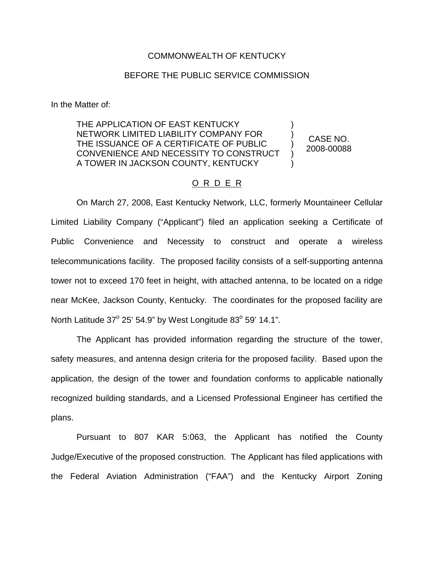## COMMONWEALTH OF KENTUCKY

## BEFORE THE PUBLIC SERVICE COMMISSION

In the Matter of:

THE APPLICATION OF EAST KENTUCKY NETWORK LIMITED LIABILITY COMPANY FOR THE ISSUANCE OF A CERTIFICATE OF PUBLIC CONVENIENCE AND NECESSITY TO CONSTRUCT A TOWER IN JACKSON COUNTY, KENTUCKY

CASE NO. 2008-00088

) ) ) ) )

## O R D E R

On March 27, 2008, East Kentucky Network, LLC, formerly Mountaineer Cellular Limited Liability Company ("Applicant") filed an application seeking a Certificate of Public Convenience and Necessity to construct and operate a wireless telecommunications facility. The proposed facility consists of a self-supporting antenna tower not to exceed 170 feet in height, with attached antenna, to be located on a ridge near McKee, Jackson County, Kentucky. The coordinates for the proposed facility are North Latitude  $37^{\circ}$  25' 54.9" by West Longitude  $83^{\circ}$  59' 14.1".

The Applicant has provided information regarding the structure of the tower, safety measures, and antenna design criteria for the proposed facility. Based upon the application, the design of the tower and foundation conforms to applicable nationally recognized building standards, and a Licensed Professional Engineer has certified the plans.

Pursuant to 807 KAR 5:063, the Applicant has notified the County Judge/Executive of the proposed construction. The Applicant has filed applications with the Federal Aviation Administration ("FAA") and the Kentucky Airport Zoning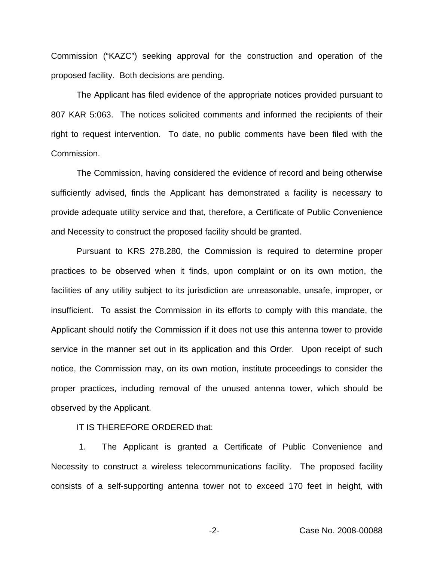Commission ("KAZC") seeking approval for the construction and operation of the proposed facility. Both decisions are pending.

The Applicant has filed evidence of the appropriate notices provided pursuant to 807 KAR 5:063. The notices solicited comments and informed the recipients of their right to request intervention. To date, no public comments have been filed with the Commission.

The Commission, having considered the evidence of record and being otherwise sufficiently advised, finds the Applicant has demonstrated a facility is necessary to provide adequate utility service and that, therefore, a Certificate of Public Convenience and Necessity to construct the proposed facility should be granted.

Pursuant to KRS 278.280, the Commission is required to determine proper practices to be observed when it finds, upon complaint or on its own motion, the facilities of any utility subject to its jurisdiction are unreasonable, unsafe, improper, or insufficient. To assist the Commission in its efforts to comply with this mandate, the Applicant should notify the Commission if it does not use this antenna tower to provide service in the manner set out in its application and this Order. Upon receipt of such notice, the Commission may, on its own motion, institute proceedings to consider the proper practices, including removal of the unused antenna tower, which should be observed by the Applicant.

IT IS THEREFORE ORDERED that:

1. The Applicant is granted a Certificate of Public Convenience and Necessity to construct a wireless telecommunications facility. The proposed facility consists of a self-supporting antenna tower not to exceed 170 feet in height, with